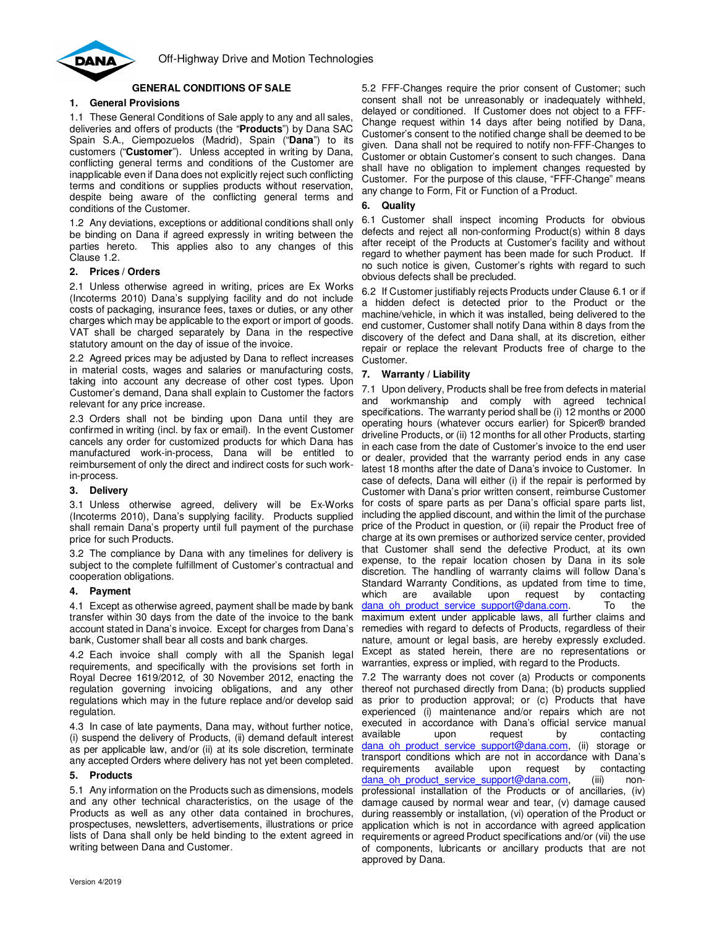

# **GENERAL CONDITIONS OF SALE**

# **1. General Provisions**

1.1 These General Conditions of Sale apply to any and all sales, deliveries and offers of products (the "**Products**") by Dana SAC Spain S.A., Ciempozuelos (Madrid), Spain ("**Dana**") to its customers ("**Customer**"). Unless accepted in writing by Dana, conflicting general terms and conditions of the Customer are inapplicable even if Dana does not explicitly reject such conflicting terms and conditions or supplies products without reservation, despite being aware of the conflicting general terms and conditions of the Customer.

1.2 Any deviations, exceptions or additional conditions shall only be binding on Dana if agreed expressly in writing between the parties hereto. This applies also to any changes of this Clause 1.2.

## **2. Prices / Orders**

2.1 Unless otherwise agreed in writing, prices are Ex Works (Incoterms 2010) Dana's supplying facility and do not include costs of packaging, insurance fees, taxes or duties, or any other charges which may be applicable to the export or import of goods. VAT shall be charged separately by Dana in the respective statutory amount on the day of issue of the invoice.

2.2 Agreed prices may be adjusted by Dana to reflect increases in material costs, wages and salaries or manufacturing costs, taking into account any decrease of other cost types. Upon Customer's demand, Dana shall explain to Customer the factors relevant for any price increase.

2.3 Orders shall not be binding upon Dana until they are confirmed in writing (incl. by fax or email). In the event Customer cancels any order for customized products for which Dana has manufactured work-in-process, Dana will be entitled to reimbursement of only the direct and indirect costs for such workin-process.

## **3. Delivery**

3.1 Unless otherwise agreed, delivery will be Ex-Works (Incoterms 2010), Dana's supplying facility. Products supplied shall remain Dana's property until full payment of the purchase price for such Products.

3.2 The compliance by Dana with any timelines for delivery is subject to the complete fulfillment of Customer's contractual and cooperation obligations.

## **4. Payment**

4.1 Except as otherwise agreed, payment shall be made by bank transfer within 30 days from the date of the invoice to the bank account stated in Dana's invoice. Except for charges from Dana's bank, Customer shall bear all costs and bank charges.

4.2 Each invoice shall comply with all the Spanish legal requirements, and specifically with the provisions set forth in Royal Decree 1619/2012, of 30 November 2012, enacting the regulation governing invoicing obligations, and any other regulations which may in the future replace and/or develop said regulation.

4.3 In case of late payments, Dana may, without further notice, (i) suspend the delivery of Products, (ii) demand default interest as per applicable law, and/or (ii) at its sole discretion, terminate any accepted Orders where delivery has not yet been completed.

## **5. Products**

5.1 Any information on the Products such as dimensions, models and any other technical characteristics, on the usage of the Products as well as any other data contained in brochures, prospectuses, newsletters, advertisements, illustrations or price lists of Dana shall only be held binding to the extent agreed in writing between Dana and Customer.

5.2 FFF-Changes require the prior consent of Customer; such consent shall not be unreasonably or inadequately withheld, delayed or conditioned. If Customer does not object to a FFF-Change request within 14 days after being notified by Dana, Customer's consent to the notified change shall be deemed to be given. Dana shall not be required to notify non-FFF-Changes to Customer or obtain Customer's consent to such changes. Dana shall have no obligation to implement changes requested by Customer. For the purpose of this clause, "FFF-Change" means any change to Form, Fit or Function of a Product.

## **6. Quality**

6.1 Customer shall inspect incoming Products for obvious defects and reject all non-conforming Product(s) within 8 days after receipt of the Products at Customer's facility and without regard to whether payment has been made for such Product. If no such notice is given, Customer's rights with regard to such obvious defects shall be precluded.

6.2 If Customer justifiably rejects Products under Clause 6.1 or if a hidden defect is detected prior to the Product or the machine/vehicle, in which it was installed, being delivered to the end customer, Customer shall notify Dana within 8 days from the discovery of the defect and Dana shall, at its discretion, either repair or replace the relevant Products free of charge to the Customer.

## **7. Warranty / Liability**

7.1 Upon delivery, Products shall be free from defects in material and workmanship and comply with agreed technical specifications. The warranty period shall be (i) 12 months or 2000 operating hours (whatever occurs earlier) for Spicer® branded driveline Products, or (ii) 12 months for all other Products, starting in each case from the date of Customer's invoice to the end user or dealer, provided that the warranty period ends in any case latest 18 months after the date of Dana's invoice to Customer. In case of defects, Dana will either (i) if the repair is performed by Customer with Dana's prior written consent, reimburse Customer for costs of spare parts as per Dana's official spare parts list, including the applied discount, and within the limit of the purchase price of the Product in question, or (ii) repair the Product free of charge at its own premises or authorized service center, provided that Customer shall send the defective Product, at its own expense, to the repair location chosen by Dana in its sole discretion. The handling of warranty claims will follow Dana's Standard Warranty Conditions, as updated from time to time, which are available upon request by contacting dana oh product service support@dana.com. To the maximum extent under applicable laws, all further claims and remedies with regard to defects of Products, regardless of their nature, amount or legal basis, are hereby expressly excluded. Except as stated herein, there are no representations or warranties, express or implied, with regard to the Products.

7.2 The warranty does not cover (a) Products or components thereof not purchased directly from Dana; (b) products supplied as prior to production approval; or (c) Products that have experienced (i) maintenance and/or repairs which are not executed in accordance with Dana's official service manual available upon request by contacting dana oh product service support@dana.com, (ii) storage or transport conditions which are not in accordance with Dana's requirements available upon request by contacting<br>dana ob product service support@dana.com (iii) nondana oh product service support@dana.com, (iii) nonprofessional installation of the Products or of ancillaries, (iv) damage caused by normal wear and tear, (v) damage caused during reassembly or installation, (vi) operation of the Product or application which is not in accordance with agreed application requirements or agreed Product specifications and/or (vii) the use of components, lubricants or ancillary products that are not approved by Dana.